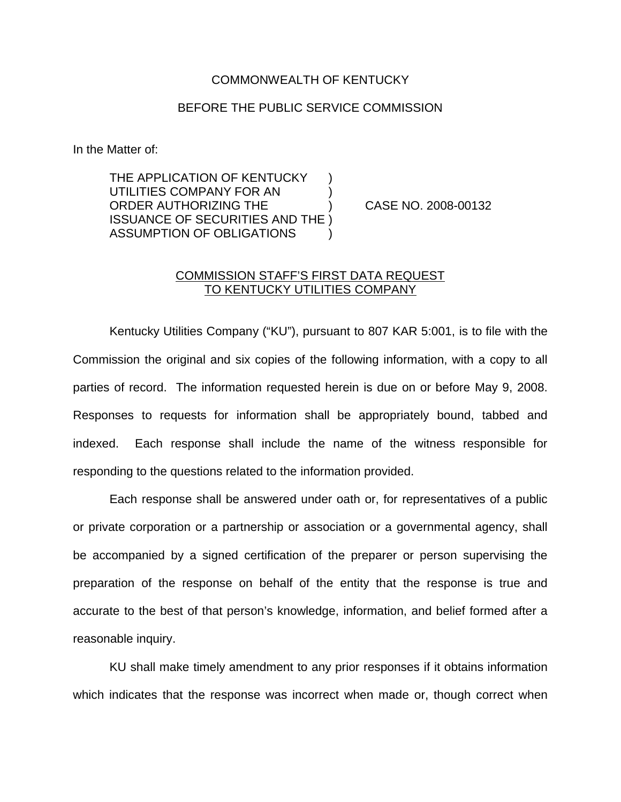## COMMONWEALTH OF KENTUCKY

## BEFORE THE PUBLIC SERVICE COMMISSION

In the Matter of:

THE APPLICATION OF KENTUCKY UTILITIES COMPANY FOR AN ) ORDER AUTHORIZING THE ) CASE NO. 2008-00132 ISSUANCE OF SECURITIES AND THE ) ASSUMPTION OF OBLIGATIONS )

## COMMISSION STAFF'S FIRST DATA REQUEST TO KENTUCKY UTILITIES COMPANY

Kentucky Utilities Company ("KU"), pursuant to 807 KAR 5:001, is to file with the Commission the original and six copies of the following information, with a copy to all parties of record. The information requested herein is due on or before May 9, 2008. Responses to requests for information shall be appropriately bound, tabbed and indexed. Each response shall include the name of the witness responsible for responding to the questions related to the information provided.

Each response shall be answered under oath or, for representatives of a public or private corporation or a partnership or association or a governmental agency, shall be accompanied by a signed certification of the preparer or person supervising the preparation of the response on behalf of the entity that the response is true and accurate to the best of that person's knowledge, information, and belief formed after a reasonable inquiry.

KU shall make timely amendment to any prior responses if it obtains information which indicates that the response was incorrect when made or, though correct when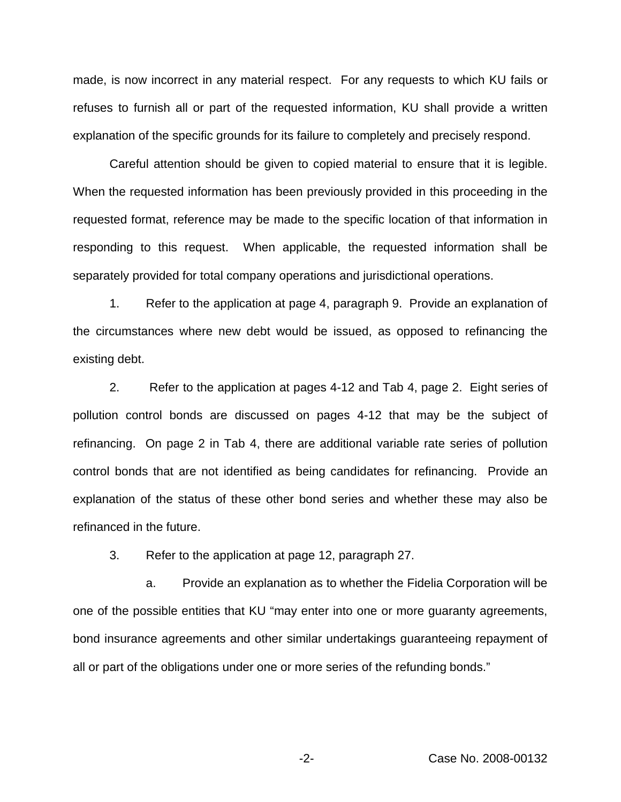made, is now incorrect in any material respect. For any requests to which KU fails or refuses to furnish all or part of the requested information, KU shall provide a written explanation of the specific grounds for its failure to completely and precisely respond.

Careful attention should be given to copied material to ensure that it is legible. When the requested information has been previously provided in this proceeding in the requested format, reference may be made to the specific location of that information in responding to this request. When applicable, the requested information shall be separately provided for total company operations and jurisdictional operations.

1. Refer to the application at page 4, paragraph 9. Provide an explanation of the circumstances where new debt would be issued, as opposed to refinancing the existing debt.

2. Refer to the application at pages 4-12 and Tab 4, page 2. Eight series of pollution control bonds are discussed on pages 4-12 that may be the subject of refinancing. On page 2 in Tab 4, there are additional variable rate series of pollution control bonds that are not identified as being candidates for refinancing. Provide an explanation of the status of these other bond series and whether these may also be refinanced in the future.

3. Refer to the application at page 12, paragraph 27.

a. Provide an explanation as to whether the Fidelia Corporation will be one of the possible entities that KU "may enter into one or more guaranty agreements, bond insurance agreements and other similar undertakings guaranteeing repayment of all or part of the obligations under one or more series of the refunding bonds."

-2- Case No. 2008-00132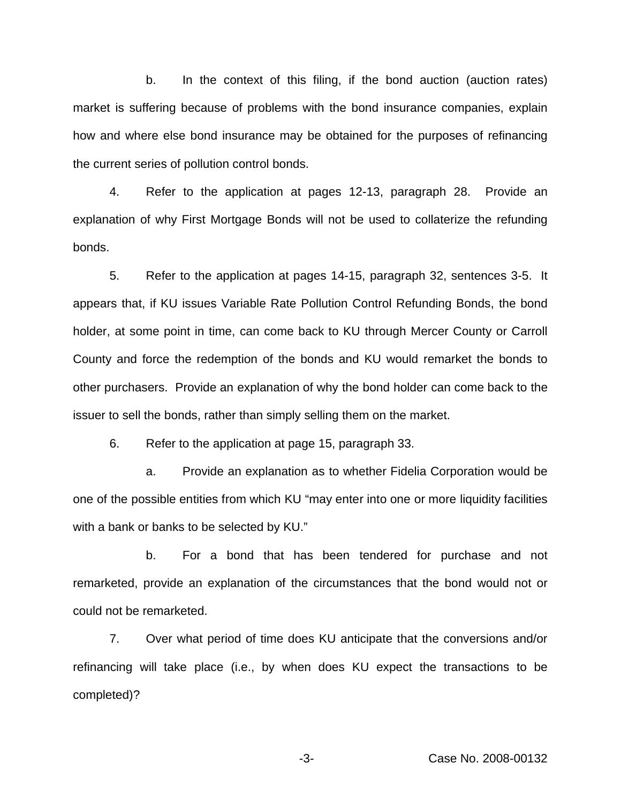b. In the context of this filing, if the bond auction (auction rates) market is suffering because of problems with the bond insurance companies, explain how and where else bond insurance may be obtained for the purposes of refinancing the current series of pollution control bonds.

4. Refer to the application at pages 12-13, paragraph 28. Provide an explanation of why First Mortgage Bonds will not be used to collaterize the refunding bonds.

5. Refer to the application at pages 14-15, paragraph 32, sentences 3-5. It appears that, if KU issues Variable Rate Pollution Control Refunding Bonds, the bond holder, at some point in time, can come back to KU through Mercer County or Carroll County and force the redemption of the bonds and KU would remarket the bonds to other purchasers. Provide an explanation of why the bond holder can come back to the issuer to sell the bonds, rather than simply selling them on the market.

6. Refer to the application at page 15, paragraph 33.

a. Provide an explanation as to whether Fidelia Corporation would be one of the possible entities from which KU "may enter into one or more liquidity facilities with a bank or banks to be selected by KU."

b. For a bond that has been tendered for purchase and not remarketed, provide an explanation of the circumstances that the bond would not or could not be remarketed.

7. Over what period of time does KU anticipate that the conversions and/or refinancing will take place (i.e., by when does KU expect the transactions to be completed)?

-3- Case No. 2008-00132